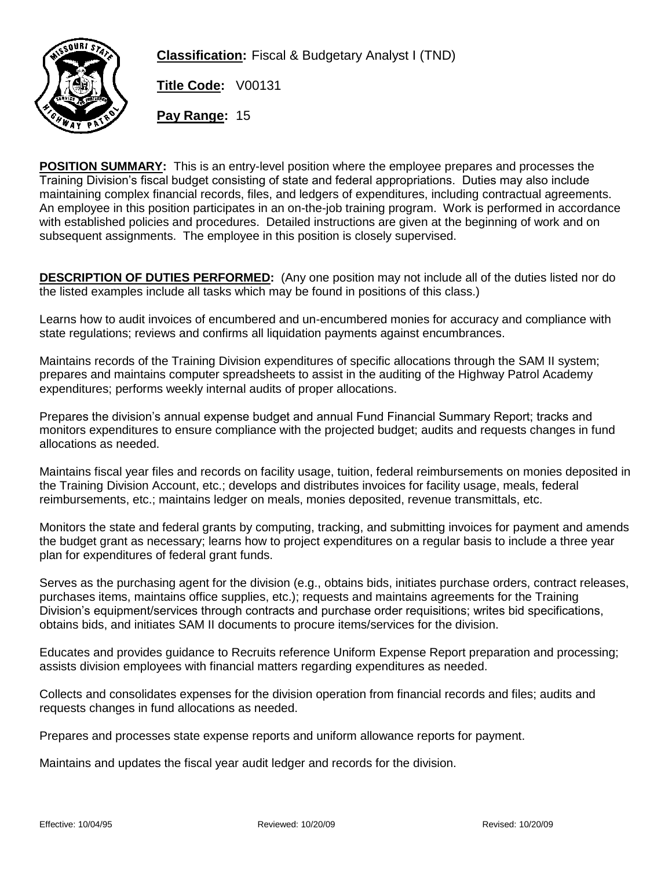

**Classification:** Fiscal & Budgetary Analyst I (TND)

**Title Code:** V00131

**Pay Range:** 15

**POSITION SUMMARY:** This is an entry-level position where the employee prepares and processes the Training Division's fiscal budget consisting of state and federal appropriations. Duties may also include maintaining complex financial records, files, and ledgers of expenditures, including contractual agreements. An employee in this position participates in an on-the-job training program. Work is performed in accordance with established policies and procedures. Detailed instructions are given at the beginning of work and on subsequent assignments. The employee in this position is closely supervised.

**DESCRIPTION OF DUTIES PERFORMED:** (Any one position may not include all of the duties listed nor do the listed examples include all tasks which may be found in positions of this class.)

Learns how to audit invoices of encumbered and un-encumbered monies for accuracy and compliance with state regulations; reviews and confirms all liquidation payments against encumbrances.

Maintains records of the Training Division expenditures of specific allocations through the SAM II system; prepares and maintains computer spreadsheets to assist in the auditing of the Highway Patrol Academy expenditures; performs weekly internal audits of proper allocations.

Prepares the division's annual expense budget and annual Fund Financial Summary Report; tracks and monitors expenditures to ensure compliance with the projected budget; audits and requests changes in fund allocations as needed.

Maintains fiscal year files and records on facility usage, tuition, federal reimbursements on monies deposited in the Training Division Account, etc.; develops and distributes invoices for facility usage, meals, federal reimbursements, etc.; maintains ledger on meals, monies deposited, revenue transmittals, etc.

Monitors the state and federal grants by computing, tracking, and submitting invoices for payment and amends the budget grant as necessary; learns how to project expenditures on a regular basis to include a three year plan for expenditures of federal grant funds.

Serves as the purchasing agent for the division (e.g., obtains bids, initiates purchase orders, contract releases, purchases items, maintains office supplies, etc.); requests and maintains agreements for the Training Division's equipment/services through contracts and purchase order requisitions; writes bid specifications, obtains bids, and initiates SAM II documents to procure items/services for the division.

Educates and provides guidance to Recruits reference Uniform Expense Report preparation and processing; assists division employees with financial matters regarding expenditures as needed.

Collects and consolidates expenses for the division operation from financial records and files; audits and requests changes in fund allocations as needed.

Prepares and processes state expense reports and uniform allowance reports for payment.

Maintains and updates the fiscal year audit ledger and records for the division.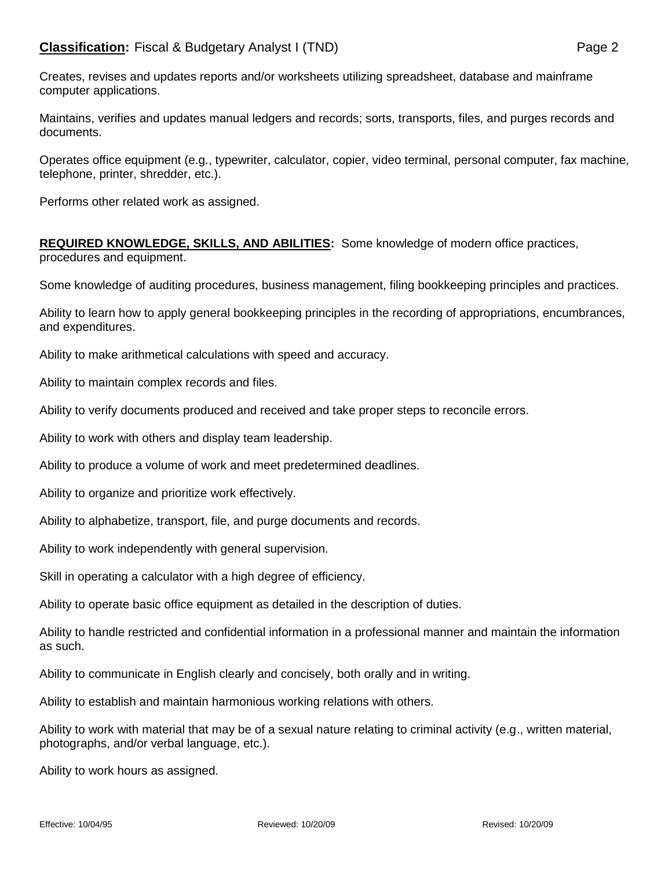Creates, revises and updates reports and/or worksheets utilizing spreadsheet, database and mainframe computer applications.

Maintains, verifies and updates manual ledgers and records; sorts, transports, files, and purges records and documents.

Operates office equipment (e.g., typewriter, calculator, copier, video terminal, personal computer, fax machine, telephone, printer, shredder, etc.).

Performs other related work as assigned.

**REQUIRED KNOWLEDGE, SKILLS, AND ABILITIES:** Some knowledge of modern office practices, procedures and equipment.

Some knowledge of auditing procedures, business management, filing bookkeeping principles and practices.

Ability to learn how to apply general bookkeeping principles in the recording of appropriations, encumbrances, and expenditures.

Ability to make arithmetical calculations with speed and accuracy.

Ability to maintain complex records and files.

Ability to verify documents produced and received and take proper steps to reconcile errors.

Ability to work with others and display team leadership.

Ability to produce a volume of work and meet predetermined deadlines.

Ability to organize and prioritize work effectively.

Ability to alphabetize, transport, file, and purge documents and records.

Ability to work independently with general supervision.

Skill in operating a calculator with a high degree of efficiency.

Ability to operate basic office equipment as detailed in the description of duties.

Ability to handle restricted and confidential information in a professional manner and maintain the information as such.

Ability to communicate in English clearly and concisely, both orally and in writing.

Ability to establish and maintain harmonious working relations with others.

Ability to work with material that may be of a sexual nature relating to criminal activity (e.g., written material, photographs, and/or verbal language, etc.).

Ability to work hours as assigned.